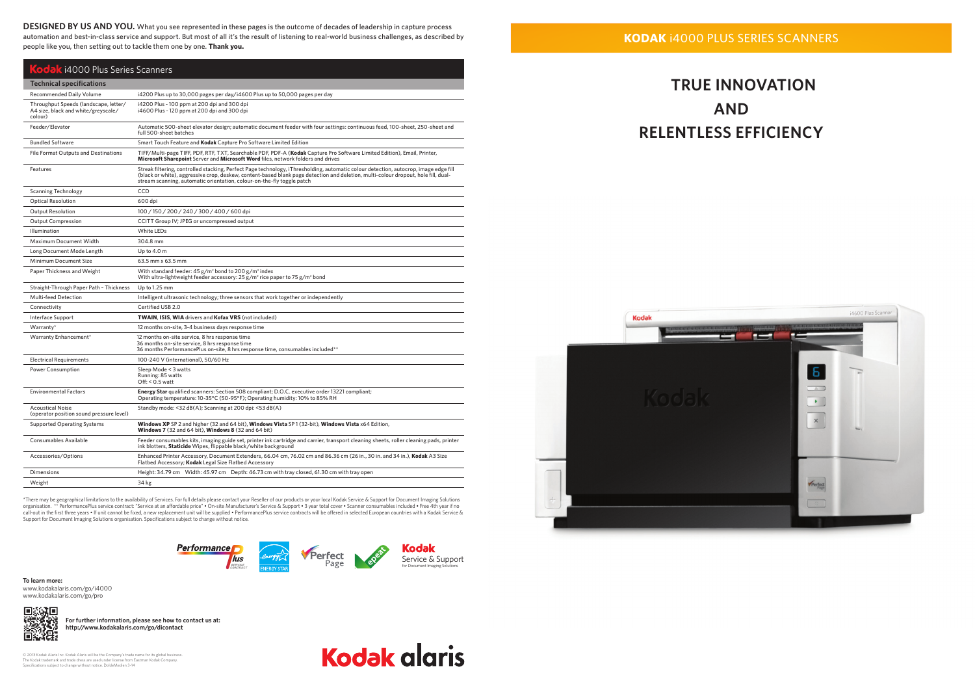**KODAK** i4000 PLUS SERIES SCANNERS

# **KODTRUE INNOVATION AND RELENTLESS EFFICIENCY**



© 2013 Kodak Alaris Inc. Kodak Alaris will be the Company's trade name for its global business.<br>The Kodak trademark and trade dress are used under license from Eastman Kodak Company.<br>Specifications subject to change withou

**Kodak alaris** 

\*There may be geographical limitations to the availability of Services. For full details please contact your Reseller of our products or your local Kodak Service & Support for Document Imaging Solutions organisation. \*\* PerformancePlus service contract: "Service at an affordable price" • On-site Manufacturer's Service & Support • 3 year total cover • Scanner consumables included • Free 4th year if no call-out in the first three years • If unit cannot be fixed, a new replacement unit will be supplied • PerformancePlus service contracts will be offered in selected European countries with a Kodak Service & Support for Document Imaging Solutions organisation. Specifications subject to change without notice.

**DESIGNED BY US AND YOU.** What you see represented in these pages is the outcome of decades of leadership in capture process automation and best-in-class service and support. But most of all it's the result of listening to real-world business challenges, as described by<br>result if we use the position out to tool la them are by any Thankyeu. people like you, then setting out to tackle them one by one. **Thank you.**





| eople like you, then setting out to tackle them one by one. <b>Thank you.</b><br>Kodak i4000 Plus Series Scanners |                                                                                                                                                                                                                                                                                                                                                      |  |
|-------------------------------------------------------------------------------------------------------------------|------------------------------------------------------------------------------------------------------------------------------------------------------------------------------------------------------------------------------------------------------------------------------------------------------------------------------------------------------|--|
|                                                                                                                   |                                                                                                                                                                                                                                                                                                                                                      |  |
| <b>Recommended Daily Volume</b>                                                                                   | i4200 Plus up to 30,000 pages per day/i4600 Plus up to 50,000 pages per day                                                                                                                                                                                                                                                                          |  |
| Throughput Speeds (landscape, letter/<br>A4 size, black and white/greyscale/<br>colour)                           | i4200 Plus - 100 ppm at 200 dpi and 300 dpi<br>i4600 Plus - 120 ppm at 200 dpi and 300 dpi                                                                                                                                                                                                                                                           |  |
| Feeder/Elevator                                                                                                   | Automatic 500-sheet elevator design; automatic document feeder with four settings: continuous feed, 100-sheet, 250-sheet and<br>full 500-sheet batches                                                                                                                                                                                               |  |
| <b>Bundled Software</b>                                                                                           | Smart Touch Feature and Kodak Capture Pro Software Limited Edition                                                                                                                                                                                                                                                                                   |  |
| <b>File Format Outputs and Destinations</b>                                                                       | TIFF/Multi-page TIFF, PDF, RTF, TXT, Searchable PDF, PDF-A (Kodak Capture Pro Software Limited Edition), Email, Printer,<br>Microsoft Sharepoint Server and Microsoft Word files, network folders and drives                                                                                                                                         |  |
| Features                                                                                                          | Streak filtering, controlled stacking, Perfect Page technology, iThresholding, automatic colour detection, autocrop, image edge fill<br>(black or white), aggressive crop, deskew, content-based blank page detection and deletion, multi-colour dropout, hole fill, dual-<br>stream scanning, automatic orientation, colour-on-the-fly toggle patch |  |
| <b>Scanning Technology</b>                                                                                        | <b>CCD</b>                                                                                                                                                                                                                                                                                                                                           |  |
| <b>Optical Resolution</b>                                                                                         | 600 dpi                                                                                                                                                                                                                                                                                                                                              |  |
| <b>Output Resolution</b>                                                                                          | 100/150/200/240/300/400/600 dpi                                                                                                                                                                                                                                                                                                                      |  |

| <b>Output Compression</b>                                           | CCITT Group IV; JPEG or uncompressed output                                                                                                                                                                |
|---------------------------------------------------------------------|------------------------------------------------------------------------------------------------------------------------------------------------------------------------------------------------------------|
| Illumination                                                        | White LEDs                                                                                                                                                                                                 |
| <b>Maximum Document Width</b>                                       | 304.8 mm                                                                                                                                                                                                   |
| Long Document Mode Length                                           | Up to 4.0 m                                                                                                                                                                                                |
| Minimum Document Size                                               | 63.5 mm x 63.5 mm                                                                                                                                                                                          |
| Paper Thickness and Weight                                          | With standard feeder: $45 g/m^2$ bond to 200 $g/m^2$ index<br>With ultra-lightweight feeder accessory: 25 $g/m^2$ rice paper to 75 $g/m^2$ bond                                                            |
| Straight-Through Paper Path - Thickness                             | Up to 1.25 mm                                                                                                                                                                                              |
| <b>Multi-feed Detection</b>                                         | Intelligent ultrasonic technology; three sensors that work together or independently                                                                                                                       |
| Connectivity                                                        | Certified USB 2.0                                                                                                                                                                                          |
| Interface Support                                                   | TWAIN, ISIS, WIA drivers and Kofax VRS (not included)                                                                                                                                                      |
| Warranty*                                                           | 12 months on-site, 3-4 business days response time                                                                                                                                                         |
| Warranty Enhancement*                                               | 12 months on-site service, 8 hrs response time<br>36 months on-site service, 8 hrs response time<br>36 months PerformancePlus on-site, 8 hrs response time, consumables included**                         |
| <b>Electrical Requirements</b>                                      | 100-240 V (international), 50/60 Hz                                                                                                                                                                        |
| <b>Power Consumption</b>                                            | Sleep Mode < 3 watts<br>Running: 85 watts<br>$Off: < 0.5$ watt                                                                                                                                             |
| <b>Environmental Factors</b>                                        | <b>Energy Star</b> qualified scanners: Section 508 compliant; D.O.C. executive order 13221 compliant;<br>Operating temperature: 10-35°C (50-95°F); Operating humidity: 10% to 85% RH                       |
| <b>Acoustical Noise</b><br>(operator position sound pressure level) | Standby mode: <32 dB(A); Scanning at 200 dpi: <53 dB(A)                                                                                                                                                    |
| <b>Supported Operating Systems</b>                                  | Windows XP SP 2 and higher (32 and 64 bit), Windows Vista SP1 (32-bit), Windows Vista x64 Edition,<br>Windows 7 (32 and 64 bit), Windows 8 (32 and 64 bit)                                                 |
| Consumables Available                                               | Feeder consumables kits, imaging guide set, printer ink cartridge and carrier, transport cleaning sheets, roller cleaning pads, printer<br>ink blotters, Staticide Wipes, flippable black/white background |
| Accessories/Options                                                 | Enhanced Printer Accessory, Document Extenders, 66.04 cm, 76.02 cm and 86.36 cm (26 in., 30 in. and 34 in.), Kodak A3 Size<br>Flatbed Accessory; Kodak Legal Size Flatbed Accessory                        |
| <b>Dimensions</b>                                                   | Height: 34.79 cm Width: 45.97 cm Depth: 46.73 cm with tray closed, 61.30 cm with tray open                                                                                                                 |
| Weight                                                              | 34 kg                                                                                                                                                                                                      |

**To learn more:**  www.kodakalaris.com/go/i4000 www.kodakalaris.com/go/pro

**For further information, please see how to contact us at: http://www.kodakalaris.com/go/dicontact**